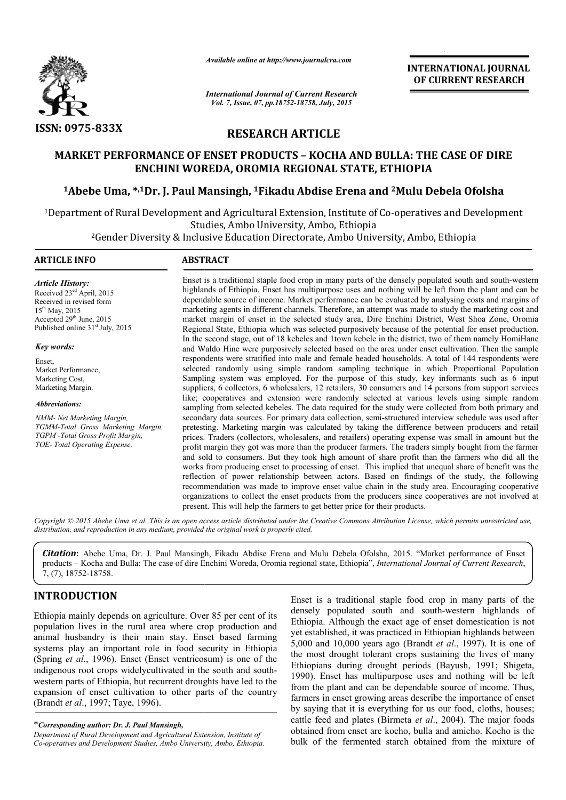

*Available online at http://www.journalcra.com*

*International Journal of Current Research Vol. 7, Issue, 07, pp.18752-18758, July, 2015*

INTERNATIONAL INTERNATIONAL JOURNAL OF CURRENT RESEARCH

# RESEARCH ARTICLE

# MARKET PERFORMANCE OF ENSET PRODUCTS – KOCHA AND BULLA: THE CASE OF DIRE ENCHINI WOREDA, OROMIA REGIONAL STATE, ETHIOPIA ARKET PERFORMANCE OF ENSET PRODUCTS – KOCHA AND BULLA: THE CASE OF DIF<br>ENCHINI WOREDA, OROMIA REGIONAL STATE, ETHIOPIA<br>Abebe Uma, \*<sup>,1</sup>Dr. J. Paul Mansingh, <sup>1</sup>Fikadu Abdise Erena and <sup>2</sup>Mulu Debela Ofolsha

<sup>1</sup>Department of Rural Development and Agricultural Extension, Institute of Co-operatives and Development Studies, Ambo University, Ambo, Ethiopia

> 2Gender Diversity & Inclusive Education Directorate, Ambo University, Ambo, Ethiopia 1

# ARTICLE INFO ARSTRACT

*Article History:* Received 23ed April, 2015 Received in revised form  $15^{th}$  May, 2015 Accepted 29<sup>th</sup> June, 2015 Published online 31<sup>st</sup> July, 2015

*Key words:*

Enset, Market Performance, Marketing Cost, Marketing Margin.

*Abbreviations:*

*NMM- Net Marketing Margin, TGMM-Total Gross Marketing Margin, TGPM -Total Gross Profit Margin, TOE- Total Operating Expense.*

Enset is a traditional staple food crop in many parts of the densely populated south and south-western highlands of Ethiopia. Enset has multipurpose uses and nothing will be left from the plant and can be dependable source of income. Market performance can be evaluated by analysing costs and margins of marketing agents in different channels. Therefore, an attempt was made to study the marketing cost and market margin of enset in the selected study area, Dire Enchini District, West Shoa Zone, Oromia Regional Stat State, Ethiopia which was selected purposively because of the potential for enset production. In the second stage, out of 18 kebeles and 1town kebele in the district, two of them namely HomiHane and Waldo Hine were purposively selected based on the area under enset cultivation. Then the sample respondents were stratified into male and female headed households. A total of 144 respondents were selected randomly using simple random sampling technique in which Proportional Population Sampling system was employed. F For the purpose of this study, key informants such as 6 input suppliers, 6 collectors, 6 wholesalers, 12 retailers, 30 consumers and 14 persons from support services like; cooperatives and extension were randomly selected at various levels using simple rand sampling from selected kebeles. The data required for the study were collected from both primary and secondary data sources. For primary data collection, semi-structured interview schedule was used after pretesting. Marketing margin was calculated by taking the difference between producers and retail prices. Traders (collectors, wholesalers, and retailers) operating expense was small in amount but the profit margin they got was more than the producer farmers. The traders simply bought from the farmer and sold to consumers. But they took high amount of share profit than the farmers who did all the works from producing enset to processing of enset. This implied that unequal share of benefit was the reflection of power relationship between actors. Based on findings of the study, the following recommendation was made to improve enset value chain in the study area. Encouraging cooperative organizations to collect the enset products from the producers since cooperatives are not involved at present. This will help the farmers to get better price for their products. present. This will help the farmers to get better price for their products. thlands of Ethiopia. Enset has multipurpose uses and nothing will be left from the plant and can be pendable source of income. Market performance can be evaluated by analysing costs and margins of rketing agents in differe the stratified into male and female headed households. A total of 144 respondents were randomly using simple random sampling technique in which Proportional Population system was employed. For the purpose of this study, ke from selected kebeles. The data required for the study were collected from both primary and v data sources. For primary data collection, semi-structured interview schedule was used after [. Marketing margin was calculated

Copyright © 2015 Abebe Uma et al. This is an open access article distributed under the Creative Commons Attribution License, which permits unrestricted use, *distribution, and reproduction in any medium, provided the original work is properly cited.*

Citation: Abebe Uma, Dr. J. Paul Mansingh, Fikadu Abdise Erena and Mulu Debela Ofolsha, 2015. "Market performance of Enset products - Kocha and Bulla: The case of dire Enchini Woreda, Oromia regional state, Ethiopia", *International Journal of Current Research*, 7, (7), 18752-18758.

# INTRODUCTION

Ethiopia mainly depends on agriculture. Over 85 per cent of its population lives in the rural area where crop production and animal husbandry is their main stay. Enset based farming systems play an important role in food security in Ethiopia (Spring *et al*., 1996). Enset (Enset ventricosum) is one of the indigenous root crops widelycultivated in the south and southwestern parts of Ethiopia, but recurrent droughts have led to the expansion of enset cultivation to other parts of the country (Brandt *et al*., 1997; Taye, 1996).

**INODOUTION**<br>
Enset is a traditional staple food crop in many parts of the<br>
iopia mainly depends on agriculture. Over 85 per cent of its dischopian. Although the exact age of enset domestication is not<br>
untain thus in the densely populated south and south-western highlands of Ethiopia. Although the exact age of enset domestication is not yet established, it was practiced in Ethiopian highlands between highlands 5,000 and 10,000 years ago (Brandt *et al*., 1997). It is one of the most drought tolerant crops sustaining the lives of many Ethiopians during drought periods (Bayush, 1991; Shigeta, 1990). Enset has multipurpose uses and nothing will be left from the plant and can be dependable source of income. Thus, farmers in enset growing areas describe the importance of enset by saying that it is everything for us our food, cloths, houses; cattle feed and plates (Birmeta (Birmeta *et al*., 2004). The major foods obtained from enset are kocho, bulla and amicho. Kocho is the bulk of the fermented starch obtained from the mixture of Enset is a traditional staple food crop in many parts of the

<sup>\*</sup>*Corresponding author: Dr. J. Paul Mansingh,* 

*Department of Rural Development and Agricultural Extension, Institute of Co-operatives and Development Studies, Ambo University, Ambo, Ethiopia.*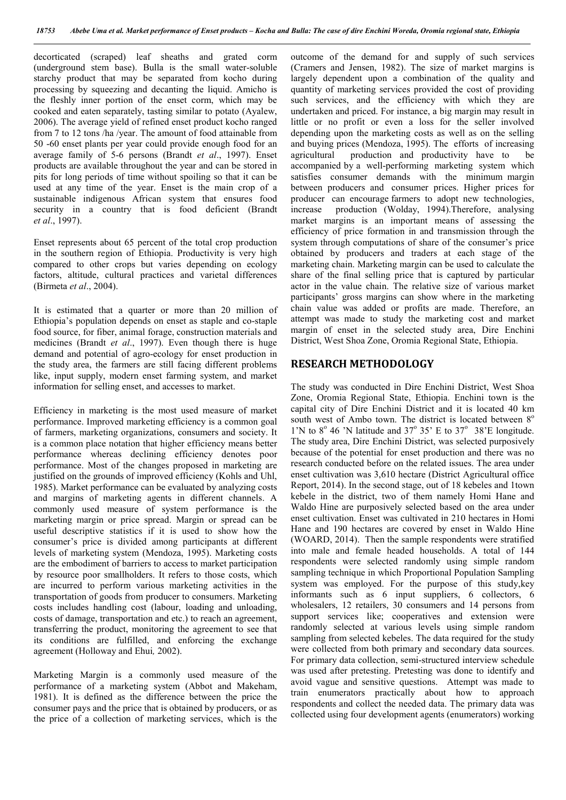decorticated (scraped) leaf sheaths and grated corm (underground stem base). Bulla is the small water-soluble starchy product that may be separated from kocho during processing by squeezing and decanting the liquid. Amicho is the fleshly inner portion of the enset corm, which may be cooked and eaten separately, tasting similar to potato (Ayalew, 2006). The average yield of refined enset product kocho ranged from 7 to 12 tons /ha /year. The amount of food attainable from 50 -60 enset plants per year could provide enough food for an average family of 5-6 persons (Brandt *et al*., 1997). Enset products are available throughout the year and can be stored in pits for long periods of time without spoiling so that it can be used at any time of the year. Enset is the main crop of a sustainable indigenous African system that ensures food security in a country that is food deficient (Brandt *et al*., 1997).

Enset represents about 65 percent of the total crop production in the southern region of Ethiopia. Productivity is very high compared to other crops but varies depending on ecology factors, altitude, cultural practices and varietal differences (Birmeta *et al*., 2004).

It is estimated that a quarter or more than 20 million of Ethiopia's population depends on enset as staple and co-staple food source, for fiber, animal forage, construction materials and medicines (Brandt *et al*., 1997). Even though there is huge demand and potential of agro-ecology for enset production in the study area, the farmers are still facing different problems like, input supply, modern enset farming system, and market information for selling enset, and accesses to market.

Efficiency in marketing is the most used measure of market performance. Improved marketing efficiency is a common goal of farmers, marketing organizations, consumers and society. It is a common place notation that higher efficiency means better performance whereas declining efficiency denotes poor performance. Most of the changes proposed in marketing are justified on the grounds of improved efficiency (Kohls and Uhl, 1985). Market performance can be evaluated by analyzing costs and margins of marketing agents in different channels. A commonly used measure of system performance is the marketing margin or price spread. Margin or spread can be useful descriptive statistics if it is used to show how the consumer's price is divided among participants at different levels of marketing system (Mendoza, 1995). Marketing costs are the embodiment of barriers to access to market participation by resource poor smallholders. It refers to those costs, which are incurred to perform various marketing activities in the transportation of goods from producer to consumers. Marketing costs includes handling cost (labour, loading and unloading, costs of damage, transportation and etc.) to reach an agreement, transferring the product, monitoring the agreement to see that its conditions are fulfilled, and enforcing the exchange agreement (Holloway and Ehui*,* 2002).

Marketing Margin is a commonly used measure of the performance of a marketing system (Abbot and Makeham, 1981). It is defined as the difference between the price the consumer pays and the price that is obtained by producers, or as the price of a collection of marketing services, which is the

outcome of the demand for and supply of such services (Cramers and Jensen, 1982). The size of market margins is largely dependent upon a combination of the quality and quantity of marketing services provided the cost of providing such services, and the efficiency with which they are undertaken and priced. For instance, a big margin may result in little or no profit or even a loss for the seller involved depending upon the marketing costs as well as on the selling and buying prices (Mendoza, 1995). The efforts of increasing agricultural production and productivity have to be accompanied by a well-performing marketing system which satisfies consumer demands with the minimum margin between producers and consumer prices. Higher prices for producer can encourage farmers to adopt new technologies, increase production (Wolday, 1994).Therefore, analysing market margins is an important means of assessing the efficiency of price formation in and transmission through the system through computations of share of the consumer's price obtained by producers and traders at each stage of the marketing chain. Marketing margin can be used to calculate the share of the final selling price that is captured by particular actor in the value chain. The relative size of various market participants' gross margins can show where in the marketing chain value was added or profits are made. Therefore, an attempt was made to study the marketing cost and market margin of enset in the selected study area, Dire Enchini District, West Shoa Zone, Oromia Regional State, Ethiopia.

# RESEARCH METHODOLOGY

The study was conducted in Dire Enchini District, West Shoa Zone, Oromia Regional State, Ethiopia. Enchini town is the capital city of Dire Enchini District and it is located 40 km south west of Ambo town. The district is located between 8<sup>o</sup> 1'N to  $8^{\circ}$  46 'N latitude and  $37^{\circ}$  35' E to  $37^{\circ}$  38'E longitude. The study area, Dire Enchini District, was selected purposively because of the potential for enset production and there was no research conducted before on the related issues. The area under enset cultivation was 3,610 hectare (District Agricultural office Report, 2014). In the second stage, out of 18 kebeles and 1town kebele in the district, two of them namely Homi Hane and Waldo Hine are purposively selected based on the area under enset cultivation. Enset was cultivated in 210 hectares in Homi Hane and 190 hectares are covered by enset in Waldo Hine (WOARD, 2014). Then the sample respondents were stratified into male and female headed households. A total of 144 respondents were selected randomly using simple random sampling technique in which Proportional Population Sampling system was employed. For the purpose of this study,key informants such as 6 input suppliers, 6 collectors, 6 wholesalers, 12 retailers, 30 consumers and 14 persons from support services like; cooperatives and extension were randomly selected at various levels using simple random sampling from selected kebeles. The data required for the study were collected from both primary and secondary data sources. For primary data collection, semi-structured interview schedule was used after pretesting. Pretesting was done to identify and avoid vague and sensitive questions. Attempt was made to train enumerators practically about how to approach respondents and collect the needed data. The primary data was collected using four development agents (enumerators) working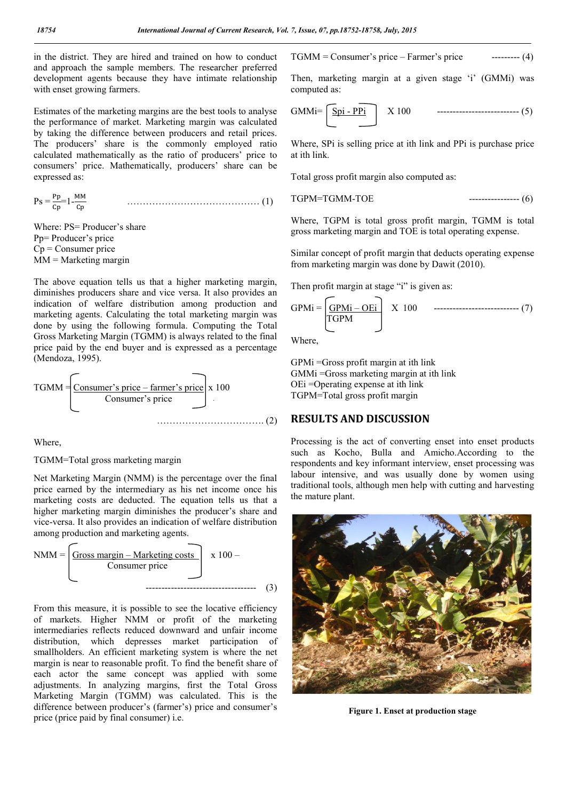in the district. They are hired and trained on how to conduct and approach the sample members. The researcher preferred development agents because they have intimate relationship with enset growing farmers.

Estimates of the marketing margins are the best tools to analyse the performance of market. Marketing margin was calculated by taking the difference between producers and retail prices. The producers' share is the commonly employed ratio calculated mathematically as the ratio of producers' price to consumers' price. Mathematically, producers' share can be expressed as:

$$
Ps = \frac{Pp}{Cp} 1 - \frac{MM}{Cp}
$$
 (1)

Where: PS= Producer's share Pp= Producer's price Cp = Consumer price  $MM =$ Marketing margin

The above equation tells us that a higher marketing margin, diminishes producers share and vice versa. It also provides an indication of welfare distribution among production and marketing agents. Calculating the total marketing margin was done by using the following formula. Computing the Total Gross Marketing Margin (TGMM) is always related to the final price paid by the end buyer and is expressed as a percentage (Mendoza, 1995).



Where,

### TGMM=Total gross marketing margin

Net Marketing Margin (NMM) is the percentage over the final price earned by the intermediary as his net income once his marketing costs are deducted. The equation tells us that a higher marketing margin diminishes the producer's share and vice-versa. It also provides an indication of welfare distribution among production and marketing agents.



From this measure, it is possible to see the locative efficiency of markets. Higher NMM or profit of the marketing intermediaries reflects reduced downward and unfair income distribution, which depresses market participation of smallholders. An efficient marketing system is where the net margin is near to reasonable profit. To find the benefit share of each actor the same concept was applied with some adjustments. In analyzing margins, first the Total Gross Marketing Margin (TGMM) was calculated. This is the difference between producer's (farmer's) price and consumer's price (price paid by final consumer) i.e.

 $TGMM =$  Consumer's price – Farmer's price --------- (4)

Then, marketing margin at a given stage 'i' (GMMi) was computed as:

$$
GMMi = \boxed{\underline{Spi - PPi}} \quad X 100 \quad \text{---}
$$
 (5)

Where, SPi is selling price at ith link and PPi is purchase price at ith link.

Total gross profit margin also computed as:

 $----------(6)$ 

Where, TGPM is total gross profit margin, TGMM is total gross marketing margin and TOE is total operating expense.

Similar concept of profit margin that deducts operating expense from marketing margin was done by Dawit (2010).

Then profit margin at stage "i" is given as:

$$
GPMi = \underbrace{\boxed{GPMi - OEi}}_{TGPM} \quad X \quad 100 \quad \dots \dots \dots \dots \dots \dots \dots \dots \dots \dots \dots \dots \dots \tag{7}
$$

Where,

GPMi =Gross profit margin at ith link GMMi =Gross marketing margin at ith link OEi =Operating expense at ith link TGPM=Total gross profit margin

# RESULTS AND DISCUSSION

Processing is the act of converting enset into enset products such as Kocho, Bulla and Amicho.According to the respondents and key informant interview, enset processing was labour intensive, and was usually done by women using traditional tools, although men help with cutting and harvesting the mature plant.



Figure 1. Enset at production stage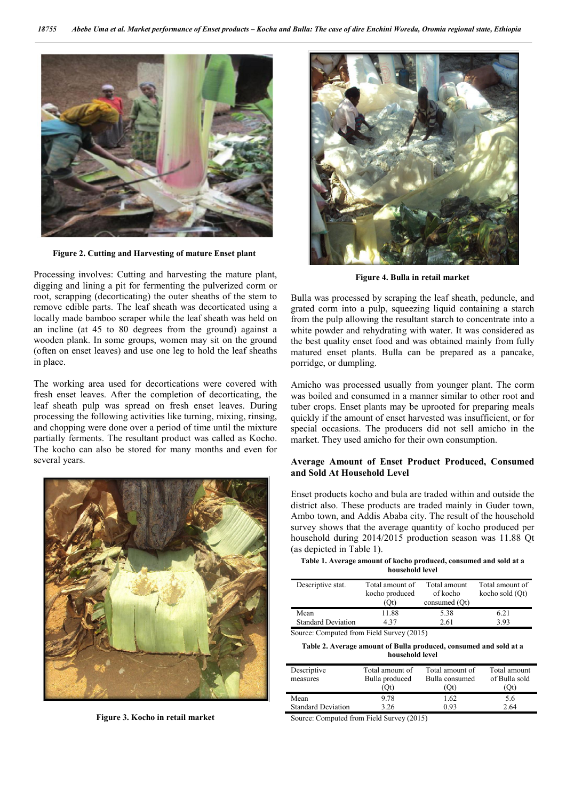

Figure 2. Cutting and Harvesting of mature Enset plant

Processing involves: Cutting and harvesting the mature plant, digging and lining a pit for fermenting the pulverized corm or root, scrapping (decorticating) the outer sheaths of the stem to remove edible parts. The leaf sheath was decorticated using a locally made bamboo scraper while the leaf sheath was held on an incline (at 45 to 80 degrees from the ground) against a wooden plank. In some groups, women may sit on the ground (often on enset leaves) and use one leg to hold the leaf sheaths in place.

The working area used for decortications were covered with fresh enset leaves. After the completion of decorticating, the leaf sheath pulp was spread on fresh enset leaves. During processing the following activities like turning, mixing, rinsing, and chopping were done over a period of time until the mixture partially ferments. The resultant product was called as Kocho. The kocho can also be stored for many months and even for several years.



Figure 3. Kocho in retail market



Figure 4. Bulla in retail market

Bulla was processed by scraping the leaf sheath, peduncle, and grated corm into a pulp, squeezing liquid containing a starch from the pulp allowing the resultant starch to concentrate into a white powder and rehydrating with water. It was considered as the best quality enset food and was obtained mainly from fully matured enset plants. Bulla can be prepared as a pancake, porridge, or dumpling.

Amicho was processed usually from younger plant. The corm was boiled and consumed in a manner similar to other root and tuber crops. Enset plants may be uprooted for preparing meals quickly if the amount of enset harvested was insufficient, or for special occasions. The producers did not sell amicho in the market. They used amicho for their own consumption.

# Average Amount of Enset Product Produced, Consumed and Sold At Household Level

Enset products kocho and bula are traded within and outside the district also. These products are traded mainly in Guder town, Ambo town, and Addis Ababa city. The result of the household survey shows that the average quantity of kocho produced per household during 2014/2015 production season was 11.88 Qt (as depicted in Table 1).

Table 1. Average amount of kocho produced, consumed and sold at a household level

| Descriptive stat.                                                                             | Total amount of<br>kocho produced<br>(Ot) | Total amount<br>of kocho<br>consumed (Ot) | Total amount of<br>kocho sold (Ot) |  |  |  |
|-----------------------------------------------------------------------------------------------|-------------------------------------------|-------------------------------------------|------------------------------------|--|--|--|
| Mean                                                                                          | 11.88                                     | 5.38                                      | 6.21                               |  |  |  |
| <b>Standard Deviation</b>                                                                     | 437                                       | 2.61                                      | 3.93                               |  |  |  |
| $S_{\text{out}}$ $C_{\text{out}}$ $A_{\text{out}}$ $E_{\text{out}}$ $A_{\text{out}}$ $(2015)$ |                                           |                                           |                                    |  |  |  |

Source: Computed from Field Survey (2015)

#### Table 2. Average amount of Bulla produced, consumed and sold at a household level

| Descriptive<br>measures   | Total amount of<br>Bulla produced | Total amount of<br>Bulla consumed | Total amount<br>of Bulla sold |
|---------------------------|-----------------------------------|-----------------------------------|-------------------------------|
|                           | 'Ot)                              | Oť                                | .Ot)                          |
| Mean                      | 9.78                              | 1.62                              | 5.6                           |
| <b>Standard Deviation</b> | 3.26                              | 0.93                              | 2.64                          |
|                           |                                   |                                   |                               |

Source: Computed from Field Survey (2015)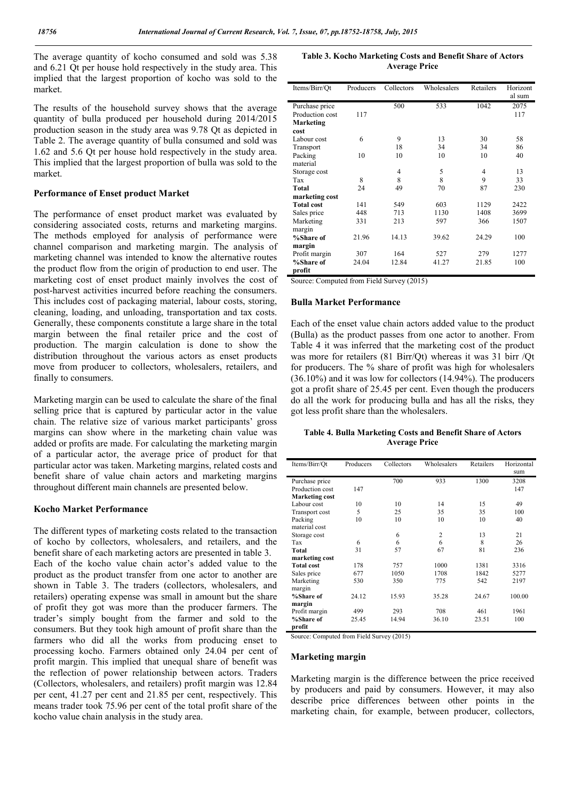The average quantity of kocho consumed and sold was 5.38 and 6.21 Qt per house hold respectively in the study area. This implied that the largest proportion of kocho was sold to the market.

The results of the household survey shows that the average quantity of bulla produced per household during 2014/2015 production season in the study area was 9.78 Qt as depicted in Table 2. The average quantity of bulla consumed and sold was 1.62 and 5.6 Qt per house hold respectively in the study area. This implied that the largest proportion of bulla was sold to the market.

## Performance of Enset product Market

The performance of enset product market was evaluated by considering associated costs, returns and marketing margins. The methods employed for analysis of performance were channel comparison and marketing margin. The analysis of marketing channel was intended to know the alternative routes the product flow from the origin of production to end user. The marketing cost of enset product mainly involves the cost of post-harvest activities incurred before reaching the consumers. This includes cost of packaging material, labour costs, storing, cleaning, loading, and unloading, transportation and tax costs. Generally, these components constitute a large share in the total margin between the final retailer price and the cost of production. The margin calculation is done to show the distribution throughout the various actors as enset products move from producer to collectors, wholesalers, retailers, and finally to consumers.

Marketing margin can be used to calculate the share of the final selling price that is captured by particular actor in the value chain. The relative size of various market participants' gross margins can show where in the marketing chain value was added or profits are made. For calculating the marketing margin of a particular actor, the average price of product for that particular actor was taken. Marketing margins, related costs and benefit share of value chain actors and marketing margins throughout different main channels are presented below.

# Kocho Market Performance

The different types of marketing costs related to the transaction of kocho by collectors, wholesalers, and retailers, and the benefit share of each marketing actors are presented in table 3. Each of the kocho value chain actor's added value to the product as the product transfer from one actor to another are shown in Table 3. The traders (collectors, wholesalers, and retailers) operating expense was small in amount but the share of profit they got was more than the producer farmers. The trader's simply bought from the farmer and sold to the consumers. But they took high amount of profit share than the farmers who did all the works from producing enset to processing kocho. Farmers obtained only 24.04 per cent of profit margin. This implied that unequal share of benefit was the reflection of power relationship between actors. Traders (Collectors, wholesalers, and retailers) profit margin was 12.84 per cent, 41.27 per cent and 21.85 per cent, respectively. This means trader took 75.96 per cent of the total profit share of the kocho value chain analysis in the study area.

Table 3. Kocho Marketing Costs and Benefit Share of Actors Average Price

| Items/Birr/Ot     | Producers | Collectors | Wholesalers | Retailers | Horizont |
|-------------------|-----------|------------|-------------|-----------|----------|
|                   |           |            |             |           | al sum   |
| Purchase price    |           | 500        | 533         | 1042      | 2075     |
| Production cost   | 117       |            |             |           | 117      |
| <b>Marketing</b>  |           |            |             |           |          |
| cost              |           |            |             |           |          |
| Labour cost       | 6         | 9          | 13          | 30        | 58       |
| Transport         |           | 18         | 34          | 34        | 86       |
| Packing           | 10        | 10         | 10          | 10        | 40       |
| material          |           |            |             |           |          |
| Storage cost      |           | 4          | 5           | 4         | 13       |
| Tax               | 8         | 8          | 8           | 9         | 33       |
| <b>Total</b>      | 24        | 49         | 70          | 87        | 230      |
| marketing cost    |           |            |             |           |          |
| <b>Total cost</b> | 141       | 549        | 603         | 1129      | 2422     |
| Sales price       | 448       | 713        | 1130        | 1408      | 3699     |
| Marketing         | 331       | 213        | 597         | 366       | 1507     |
| margin            |           |            |             |           |          |
| %Share of         | 21.96     | 14.13      | 39.62       | 24.29     | 100      |
| margin            |           |            |             |           |          |
| Profit margin     | 307       | 164        | 527         | 279       | 1277     |
| %Share of         | 24.04     | 12.84      | 41.27       | 21.85     | 100      |
| profit            |           |            |             |           |          |

Source: Computed from Field Survey (2015)

# Bulla Market Performance

Each of the enset value chain actors added value to the product (Bulla) as the product passes from one actor to another. From Table 4 it was inferred that the marketing cost of the product was more for retailers (81 Birr/Qt) whereas it was 31 birr /Qt for producers. The % share of profit was high for wholesalers (36.10%) and it was low for collectors (14.94%). The producers got a profit share of 25.45 per cent. Even though the producers do all the work for producing bulla and has all the risks, they got less profit share than the wholesalers.

Table 4. Bulla Marketing Costs and Benefit Share of Actors Average Price

| Items/Birr/Ot         | Producers | Collectors | Wholesalers    | Retailers | Horizontal |
|-----------------------|-----------|------------|----------------|-----------|------------|
|                       |           |            |                |           | sum        |
| Purchase price        |           | 700        | 933            | 1300      | 3208       |
| Production cost       | 147       |            |                |           | 147        |
| <b>Marketing cost</b> |           |            |                |           |            |
| Labour cost           | 10        | 10         | 14             | 15        | 49         |
| <b>Transport cost</b> | 5         | 25         | 35             | 35        | 100        |
| Packing               | 10        | 10         | 10             | 10        | 40         |
| material cost         |           |            |                |           |            |
| Storage cost          |           | 6          | $\overline{2}$ | 13        | 21         |
| Tax                   | 6         | 6          | 6              | 8         | 26         |
| Total                 | 31        | 57         | 67             | 81        | 236        |
| marketing cost        |           |            |                |           |            |
| <b>Total cost</b>     | 178       | 757        | 1000           | 1381      | 3316       |
| Sales price           | 677       | 1050       | 1708           | 1842      | 5277       |
| Marketing             | 530       | 350        | 775            | 542       | 2197       |
| margin                |           |            |                |           |            |
| %Share of             | 24.12     | 15.93      | 35.28          | 24.67     | 100.00     |
| margin                |           |            |                |           |            |
| Profit margin         | 499       | 293        | 708            | 461       | 1961       |
| %Share of             | 25.45     | 14.94      | 36.10          | 23.51     | 100        |
| profit                |           |            |                |           |            |

Source: Computed from Field Survey (2015)

#### Marketing margin

Marketing margin is the difference between the price received by producers and paid by consumers. However, it may also describe price differences between other points in the marketing chain, for example, between producer, collectors,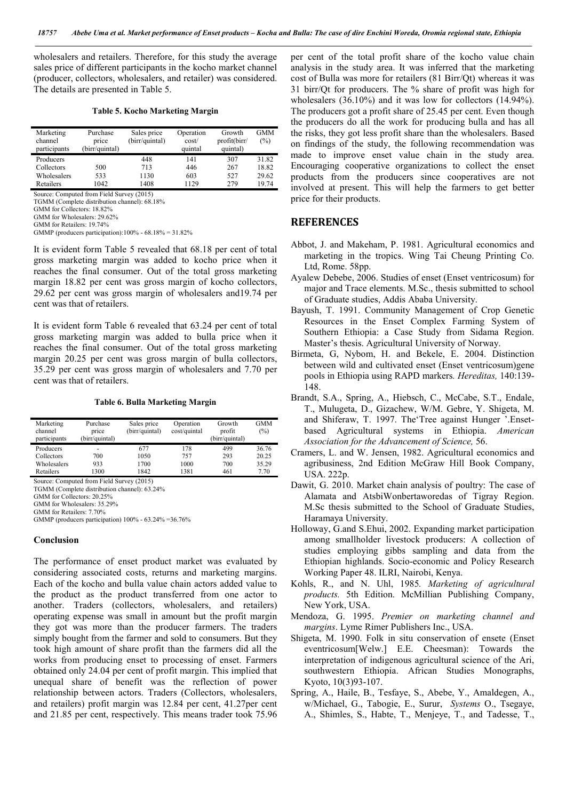wholesalers and retailers. Therefore, for this study the average sales price of different participants in the kocho market channel (producer, collectors, wholesalers, and retailer) was considered. The details are presented in Table 5.

Table 5. Kocho Marketing Margin

| Marketing<br>channel<br>participants | Purchase<br>price<br>(birr/quintal) | Sales price<br>(birr/quintal) | Operation<br>cost/<br>quintal | Growth<br>profit(birr/<br>quintal) | GMM<br>(%) |
|--------------------------------------|-------------------------------------|-------------------------------|-------------------------------|------------------------------------|------------|
| Producers                            |                                     | 448                           | 141                           | 307                                | 31.82      |
| Collectors                           | 500                                 | 713                           | 446                           | 267                                | 18.82      |
| Wholesalers                          | 533                                 | 1130                          | 603                           | 527                                | 29.62      |
| Retailers                            | 1042                                | 1408                          | 1129                          | 279                                | 19.74      |

Source: Computed from Field Survey (2015)

TGMM (Complete distribution channel): 68.18%

GMM for Collectors: 18.82% GMM for Wholesalers: 29.62%

GMMP (producers participation):100% -  $68.18\% = 31.82\%$ 

It is evident form Table 5 revealed that 68.18 per cent of total gross marketing margin was added to kocho price when it reaches the final consumer. Out of the total gross marketing margin 18.82 per cent was gross margin of kocho collectors, 29.62 per cent was gross margin of wholesalers and19.74 per cent was that of retailers.

It is evident form Table 6 revealed that 63.24 per cent of total gross marketing margin was added to bulla price when it reaches the final consumer. Out of the total gross marketing margin 20.25 per cent was gross margin of bulla collectors, 35.29 per cent was gross margin of wholesalers and 7.70 per cent was that of retailers.

#### Table 6. Bulla Marketing Margin

| Marketing<br>channel<br>participants | Purchase<br>price<br>(birr/quintal) | Sales price<br>(birr/quintal) | Operation<br>cost/quintal | Growth<br>profit<br>(birr/quintal) | <b>GMM</b><br>(%) |
|--------------------------------------|-------------------------------------|-------------------------------|---------------------------|------------------------------------|-------------------|
| Producers                            | ۰                                   | 677                           | 178                       | 499                                | 36.76             |
| Collectors                           | 700                                 | 1050                          | 757                       | 293                                | 20.25             |
| Wholesalers                          | 933                                 | 1700                          | 1000                      | 700                                | 35.29             |
| Retailers                            | 1300                                | 1842                          | 1381                      | 461                                | 7.70              |

Source: Computed from Field Survey (2015)

TGMM (Complete distribution channel): 63.24% GMM for Collectors: 20.25%

GMM for Wholesalers: 35.29%

GMM for Retailers: 7.70%

GMMP (producers participation) 100% - 63.24% =36.76%

### Conclusion

The performance of enset product market was evaluated by considering associated costs, returns and marketing margins. Each of the kocho and bulla value chain actors added value to the product as the product transferred from one actor to another. Traders (collectors, wholesalers, and retailers) operating expense was small in amount but the profit margin they got was more than the producer farmers. The traders simply bought from the farmer and sold to consumers. But they took high amount of share profit than the farmers did all the works from producing enset to processing of enset. Farmers obtained only 24.04 per cent of profit margin. This implied that unequal share of benefit was the reflection of power relationship between actors. Traders (Collectors, wholesalers, and retailers) profit margin was 12.84 per cent, 41.27per cent and 21.85 per cent, respectively. This means trader took 75.96

per cent of the total profit share of the kocho value chain analysis in the study area. It was inferred that the marketing cost of Bulla was more for retailers (81 Birr/Qt) whereas it was 31 birr/Qt for producers. The % share of profit was high for wholesalers (36.10%) and it was low for collectors (14.94%). The producers got a profit share of 25.45 per cent. Even though the producers do all the work for producing bulla and has all the risks, they got less profit share than the wholesalers. Based on findings of the study, the following recommendation was made to improve enset value chain in the study area. Encouraging cooperative organizations to collect the enset products from the producers since cooperatives are not involved at present. This will help the farmers to get better price for their products.

# **REFERENCES**

- Abbot, J. and Makeham, P. 1981. Agricultural economics and marketing in the tropics. Wing Tai Cheung Printing Co. Ltd, Rome. 58pp.
- Ayalew Debebe, 2006. Studies of enset (Enset ventricosum) for major and Trace elements. M.Sc., thesis submitted to school of Graduate studies, Addis Ababa University.
- Bayush, T. 1991. Community Management of Crop Genetic Resources in the Enset Complex Farming System of Southern Ethiopia: a Case Study from Sidama Region. Master's thesis. Agricultural University of Norway.
- Birmeta, G, Nybom, H. and Bekele, E. 2004. Distinction between wild and cultivated enset (Enset ventricosum)gene pools in Ethiopia using RAPD markers*. Hereditas,* 140:139- 148.
- Brandt, S.A., Spring, A., Hiebsch, C., McCabe, S.T., Endale, T., Mulugeta, D., Gizachew, W/M. Gebre, Y. Shigeta, M. and Shiferaw, T. 1997. The'Tree against Hunger '.Ensetbased Agricultural systems in Ethiopia. *American Association for the Advancement of Science,* 56.
- Cramers, L. and W. Jensen, 1982. Agricultural economics and agribusiness, 2nd Edition McGraw Hill Book Company, USA. 222p.
- Dawit, G. 2010. Market chain analysis of poultry: The case of Alamata and AtsbiWonbertaworedas of Tigray Region. M.Sc thesis submitted to the School of Graduate Studies, Haramaya University.
- Holloway, G.and S.Ehui, 2002. Expanding market participation among smallholder livestock producers: A collection of studies employing gibbs sampling and data from the Ethiopian highlands. Socio-economic and Policy Research Working Paper 48. ILRI, Nairobi, Kenya.
- Kohls, R., and N. Uhl, 1985*. Marketing of agricultural products.* 5th Edition. McMillian Publishing Company, New York, USA.
- Mendoza, G. 1995. *Premier on marketing channel and margins*. Lyme Rimer Publishers Inc., USA.
- Shigeta, M. 1990. Folk in situ conservation of ensete (Enset eventricosum[Welw.] E.E. Cheesman): Towards the interpretation of indigenous agricultural science of the Ari, southwestern Ethiopia. African Studies Monographs, Kyoto, 10(3)93-107.
- Spring, A., Haile, B., Tesfaye, S., Abebe, Y., Amaldegen, A., w/Michael, G., Tabogie, E., Surur, *Systems* O., Tsegaye, A., Shimles, S., Habte, T., Menjeye, T., and Tadesse, T.,

GMM for Retailers: 19.74%